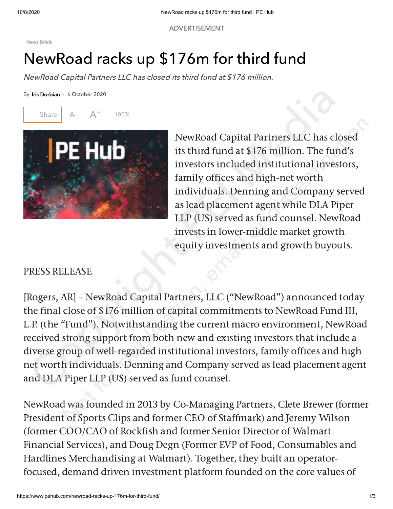ADVERTISEMENT

[News Briefs](https://www.pehub.com/news-briefs/)

## NewRoad racks up \$176m for third fund

NewRoad Capital Partners LLC has closed its third fund at \$176 million.

By Iris Dorbian - 6 October 2020



NewRoad Capital Partners LLC has closed its third fund at \$176 million. The fund's investors included institutional investors, family offices and high-net worth individuals. Denning and Company served as lead placement agent while DLA Piper LLP (US) served as fund counsel. NewRoad invests in lower-middle market growth equity investments and growth buyouts.

## PRESS RELEASE

[Rogers, AR] – NewRoad Capital Partners, LLC ("NewRoad") announced today the final close of \$176 million of capital commitments to NewRoad Fund III, L.P. (the "Fund"). Notwithstanding the current macro environment, NewRoad received strong support from both new and existing investors that include a diverse group of well-regarded institutional investors, family offices and high net worth individuals. Denning and Company served as lead placement agent and DLA Piper LLP (US) served as fund counsel. France Couber 2020<br>
Share A: A<sup>+</sup> 100%<br>
Share A: A<sup>+</sup> 100%<br>
Its third fund at \$176 million. The fund's<br>
investors included institutional investors<br>
family offices and high-net worth<br>
individuals. Denning and Company serves NewRoad Capital Partners LLC has closed<br>its third fund at \$176 million. The fund's<br>investors included institutional investors,<br>family offices and high-net worth<br>individuals. Denning and Company served<br>as lead placement age

NewRoad was founded in 2013 by Co-Managing Partners, Clete Brewer (former President of Sports Clips and former CEO of Staffmark) and Jeremy Wilson (former COO/CAO of Rockfish and former Senior Director of Walmart Financial Services), and Doug Degn (Former EVP of Food, Consumables and Hardlines Merchandising at Walmart). Together, they built an operatorfocused, demand driven investment platform founded on the core values of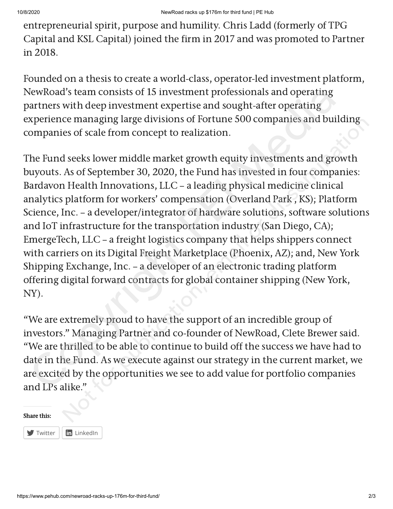entrepreneurial spirit, purpose and humility. Chris Ladd (formerly of TPG Capital and KSL Capital) joined the firm in 2017 and was promoted to Partner in 2018.

Founded on a thesis to create a world-class, operator-led investment platform, NewRoad's team consists of 15 investment professionals and operating partners with deep investment expertise and sought-after operating experience managing large divisions of Fortune 500 companies and building companies of scale from concept to realization.

The Fund seeks lower middle market growth equity investments and growth buyouts. As of September 30, 2020, the Fund has invested in four companies: Bardavon Health Innovations, LLC – a leading physical medicine clinical analytics platform for workers' compensation (Overland Park , KS); Platform Science, Inc. – a developer/integrator of hardware solutions, software solutions and IoT infrastructure for the transportation industry (San Diego, CA); EmergeTech, LLC – a freight logistics company that helps shippers connect with carriers on its Digital Freight Marketplace (Phoenix, AZ); and, New York Shipping Exchange, Inc. – a developer of an electronic trading platform offering digital forward contracts for global container shipping (New York, NY). NewRoad's team consists of 15 investment professionals and operating<br>aztriers with deep investment expertise and sought-after operating<br>aztriers and nonging large divisions of Fortune 500 companies and buildin<br>xperience ma ce managing large divisions or Fortune 500 companies and building<br>les of scale from concept to realization.<br>
A seeks lower middle market growth equity investments and growth<br>
As of September 30, 2020, the Fund has invested

"We are extremely proud to have the support of an incredible group of investors." Managing Partner and co-founder of NewRoad, Clete Brewer said. "We are thrilled to be able to continue to build off the success we have had to date in the Fund. As we execute against our strategy in the current market, we are excited by the opportunities we see to add value for portfolio companies and LPs alike."

## Share this:

 $\blacksquare$  [Twitter](https://www.pehub.com/newroad-racks-up-176m-for-third-fund/?share=twitter&nb=1)  $\| \mathbf{in} \$  [LinkedIn](https://www.pehub.com/newroad-racks-up-176m-for-third-fund/?share=linkedin&nb=1)